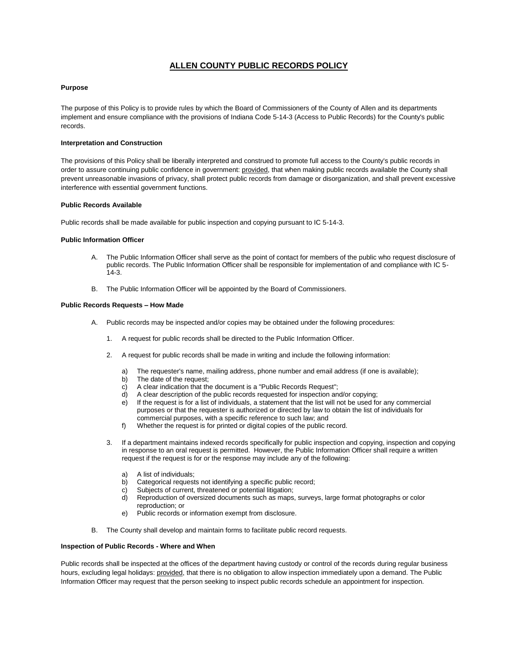# **ALLEN COUNTY PUBLIC RECORDS POLICY**

## **Purpose**

The purpose of this Policy is to provide rules by which the Board of Commissioners of the County of Allen and its departments implement and ensure compliance with the provisions of Indiana Code 5-14-3 (Access to Public Records) for the County's public records.

#### **Interpretation and Construction**

The provisions of this Policy shall be liberally interpreted and construed to promote full access to the County's public records in order to assure continuing public confidence in government: provided, that when making public records available the County shall prevent unreasonable invasions of privacy, shall protect public records from damage or disorganization, and shall prevent excessive interference with essential government functions.

#### **Public Records Available**

Public records shall be made available for public inspection and copying pursuant to IC 5-14-3.

### **Public Information Officer**

- A. The Public Information Officer shall serve as the point of contact for members of the public who request disclosure of public records. The Public Information Officer shall be responsible for implementation of and compliance with IC 5- 14-3.
- B. The Public Information Officer will be appointed by the Board of Commissioners.

#### **Public Records Requests – How Made**

- A. Public records may be inspected and/or copies may be obtained under the following procedures:
	- 1. A request for public records shall be directed to the Public Information Officer.
	- 2. A request for public records shall be made in writing and include the following information:
		- The requester's name, mailing address, phone number and email address (if one is available);
		- b) The date of the request;
		- c) A clear indication that the document is a "Public Records Request";
		- d) A clear description of the public records requested for inspection and/or copying;
		- e) If the request is for a list of individuals, a statement that the list will not be used for any commercial purposes or that the requester is authorized or directed by law to obtain the list of individuals for commercial purposes, with a specific reference to such law; and
		- f) Whether the request is for printed or digital copies of the public record.
	- 3. If a department maintains indexed records specifically for public inspection and copying, inspection and copying in response to an oral request is permitted. However, the Public Information Officer shall require a written request if the request is for or the response may include any of the following:
		- a) A list of individuals;
		- b) Categorical requests not identifying a specific public record;
		- c) Subjects of current, threatened or potential litigation;
		- d) Reproduction of oversized documents such as maps, surveys, large format photographs or color reproduction; or
		- Public records or information exempt from disclosure.
- B. The County shall develop and maintain forms to facilitate public record requests.

#### **Inspection of Public Records - Where and When**

Public records shall be inspected at the offices of the department having custody or control of the records during regular business hours, excluding legal holidays: provided, that there is no obligation to allow inspection immediately upon a demand. The Public Information Officer may request that the person seeking to inspect public records schedule an appointment for inspection.